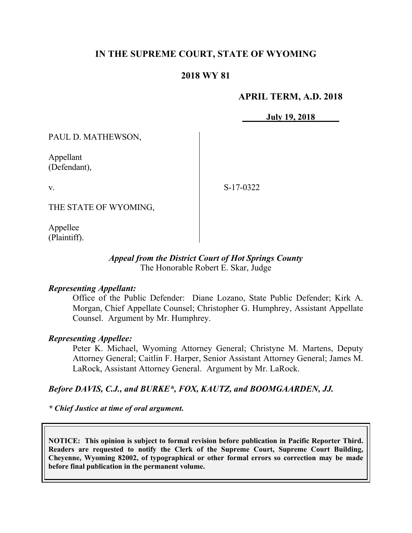# **IN THE SUPREME COURT, STATE OF WYOMING**

# **2018 WY 81**

### **APRIL TERM, A.D. 2018**

**July 19, 2018**

PAUL D. MATHEWSON,

Appellant (Defendant),

v.

S-17-0322

THE STATE OF WYOMING,

Appellee (Plaintiff).

#### *Appeal from the District Court of Hot Springs County* The Honorable Robert E. Skar, Judge

#### *Representing Appellant:*

Office of the Public Defender: Diane Lozano, State Public Defender; Kirk A. Morgan, Chief Appellate Counsel; Christopher G. Humphrey, Assistant Appellate Counsel. Argument by Mr. Humphrey.

#### *Representing Appellee:*

Peter K. Michael, Wyoming Attorney General; Christyne M. Martens, Deputy Attorney General; Caitlin F. Harper, Senior Assistant Attorney General; James M. LaRock, Assistant Attorney General. Argument by Mr. LaRock.

### *Before DAVIS, C.J., and BURKE\*, FOX, KAUTZ, and BOOMGAARDEN, JJ.*

*\* Chief Justice at time of oral argument***.**

**NOTICE: This opinion is subject to formal revision before publication in Pacific Reporter Third. Readers are requested to notify the Clerk of the Supreme Court, Supreme Court Building, Cheyenne, Wyoming 82002, of typographical or other formal errors so correction may be made before final publication in the permanent volume.**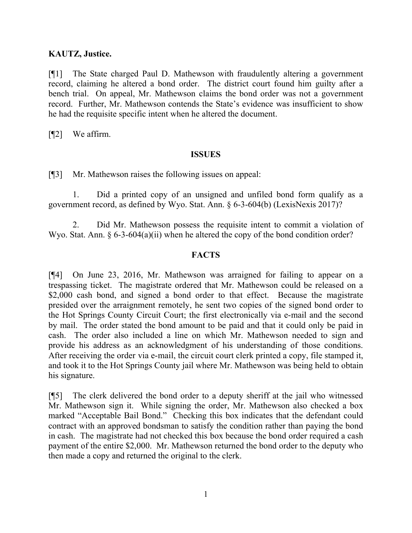## **KAUTZ, Justice.**

[¶1] The State charged Paul D. Mathewson with fraudulently altering a government record, claiming he altered a bond order. The district court found him guilty after a bench trial. On appeal, Mr. Mathewson claims the bond order was not a government record. Further, Mr. Mathewson contends the State's evidence was insufficient to show he had the requisite specific intent when he altered the document.

[¶2] We affirm.

### **ISSUES**

[¶3] Mr. Mathewson raises the following issues on appeal:

1. Did a printed copy of an unsigned and unfiled bond form qualify as a government record, as defined by Wyo. Stat. Ann. § 6-3-604(b) (LexisNexis 2017)?

2. Did Mr. Mathewson possess the requisite intent to commit a violation of Wyo. Stat. Ann. § 6-3-604(a)(ii) when he altered the copy of the bond condition order?

## **FACTS**

[¶4] On June 23, 2016, Mr. Mathewson was arraigned for failing to appear on a trespassing ticket. The magistrate ordered that Mr. Mathewson could be released on a \$2,000 cash bond, and signed a bond order to that effect. Because the magistrate presided over the arraignment remotely, he sent two copies of the signed bond order to the Hot Springs County Circuit Court; the first electronically via e-mail and the second by mail. The order stated the bond amount to be paid and that it could only be paid in cash. The order also included a line on which Mr. Mathewson needed to sign and provide his address as an acknowledgment of his understanding of those conditions. After receiving the order via e-mail, the circuit court clerk printed a copy, file stamped it, and took it to the Hot Springs County jail where Mr. Mathewson was being held to obtain his signature.

[¶5] The clerk delivered the bond order to a deputy sheriff at the jail who witnessed Mr. Mathewson sign it. While signing the order, Mr. Mathewson also checked a box marked "Acceptable Bail Bond." Checking this box indicates that the defendant could contract with an approved bondsman to satisfy the condition rather than paying the bond in cash. The magistrate had not checked this box because the bond order required a cash payment of the entire \$2,000. Mr. Mathewson returned the bond order to the deputy who then made a copy and returned the original to the clerk.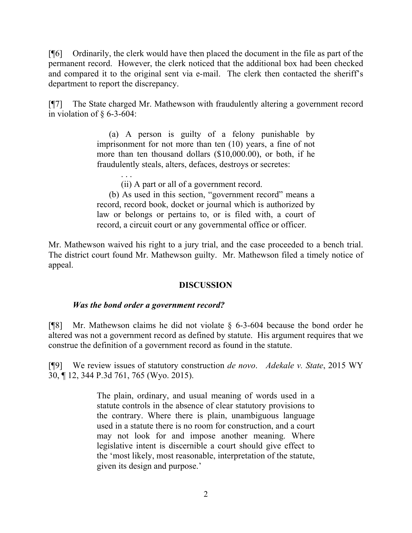[¶6] Ordinarily, the clerk would have then placed the document in the file as part of the permanent record. However, the clerk noticed that the additional box had been checked and compared it to the original sent via e-mail. The clerk then contacted the sheriff's department to report the discrepancy.

[¶7] The State charged Mr. Mathewson with fraudulently altering a government record in violation of  $\S$  6-3-604:

> (a) A person is guilty of a felony punishable by imprisonment for not more than ten (10) years, a fine of not more than ten thousand dollars (\$10,000.00), or both, if he fraudulently steals, alters, defaces, destroys or secretes:

> > (ii) A part or all of a government record.

(b) As used in this section, "government record" means a record, record book, docket or journal which is authorized by law or belongs or pertains to, or is filed with, a court of record, a circuit court or any governmental office or officer.

Mr. Mathewson waived his right to a jury trial, and the case proceeded to a bench trial. The district court found Mr. Mathewson guilty. Mr. Mathewson filed a timely notice of appeal.

# **DISCUSSION**

### *Was the bond order a government record?*

. . .

[¶8] Mr. Mathewson claims he did not violate § 6-3-604 because the bond order he altered was not a government record as defined by statute. His argument requires that we construe the definition of a government record as found in the statute.

[¶9] We review issues of statutory construction *de novo*. *Adekale v. State*, 2015 WY 30, ¶ 12, 344 P.3d 761, 765 (Wyo. 2015).

> The plain, ordinary, and usual meaning of words used in a statute controls in the absence of clear statutory provisions to the contrary. Where there is plain, unambiguous language used in a statute there is no room for construction, and a court may not look for and impose another meaning. Where legislative intent is discernible a court should give effect to the 'most likely, most reasonable, interpretation of the statute, given its design and purpose.'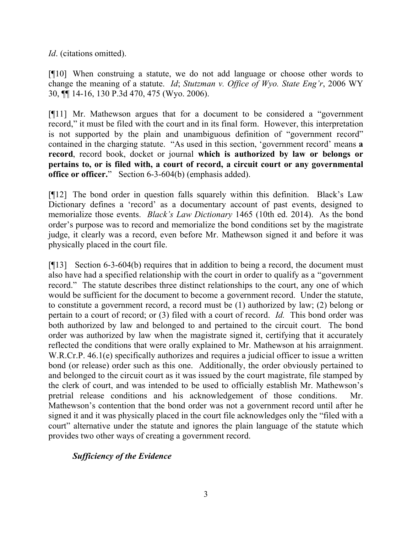*Id*. (citations omitted).

[¶10] When construing a statute, we do not add language or choose other words to change the meaning of a statute. *Id*; *Stutzman v. Office of Wyo. State Eng'r*, 2006 WY 30, ¶¶ 14-16, 130 P.3d 470, 475 (Wyo. 2006).

[¶11] Mr. Mathewson argues that for a document to be considered a "government record," it must be filed with the court and in its final form. However, this interpretation is not supported by the plain and unambiguous definition of "government record" contained in the charging statute. "As used in this section, 'government record' means **a record**, record book, docket or journal **which is authorized by law or belongs or pertains to, or is filed with, a court of record, a circuit court or any governmental office or officer.**" Section 6-3-604(b) (emphasis added).

[¶12] The bond order in question falls squarely within this definition. Black's Law Dictionary defines a 'record' as a documentary account of past events, designed to memorialize those events. *Black's Law Dictionary* 1465 (10th ed. 2014). As the bond order's purpose was to record and memorialize the bond conditions set by the magistrate judge, it clearly was a record, even before Mr. Mathewson signed it and before it was physically placed in the court file.

[¶13] Section 6-3-604(b) requires that in addition to being a record, the document must also have had a specified relationship with the court in order to qualify as a "government record." The statute describes three distinct relationships to the court, any one of which would be sufficient for the document to become a government record. Under the statute, to constitute a government record, a record must be (1) authorized by law; (2) belong or pertain to a court of record; or (3) filed with a court of record. *Id.* This bond order was both authorized by law and belonged to and pertained to the circuit court. The bond order was authorized by law when the magistrate signed it, certifying that it accurately reflected the conditions that were orally explained to Mr. Mathewson at his arraignment. W.R.Cr.P. 46.1(e) specifically authorizes and requires a judicial officer to issue a written bond (or release) order such as this one. Additionally, the order obviously pertained to and belonged to the circuit court as it was issued by the court magistrate, file stamped by the clerk of court, and was intended to be used to officially establish Mr. Mathewson's pretrial release conditions and his acknowledgement of those conditions. Mr. Mathewson's contention that the bond order was not a government record until after he signed it and it was physically placed in the court file acknowledges only the "filed with a court" alternative under the statute and ignores the plain language of the statute which provides two other ways of creating a government record.

# *Sufficiency of the Evidence*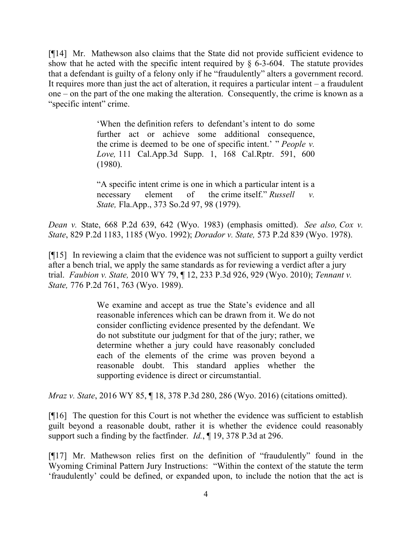[¶14] Mr. Mathewson also claims that the State did not provide sufficient evidence to show that he acted with the specific intent required by  $\S$  6-3-604. The statute provides that a defendant is guilty of a felony only if he "fraudulently" alters a government record. It requires more than just the act of alteration, it requires a particular intent  $-$  a fraudulent one – on the part of the one making the alteration. Consequently, the crime is known as a "specific intent" crime.

> 'When the definition refers to defendant's intent to do some further act or achieve some additional consequence, the crime is deemed to be one of specific intent.' " *People v. Love,* 111 Cal.App.3d Supp. 1, 168 Cal.Rptr. 591, 600 (1980).

"A specific intent crime is one in which a particular intent is a necessary element of the crime itself." *Russell v. State,* Fla.App., 373 So.2d 97, 98 (1979).

*Dean v.* State, 668 P.2d 639, 642 (Wyo. 1983) (emphasis omitted). *See also, Cox v. State*, 829 P.2d 1183, 1185 (Wyo. 1992); *Dorador v. State,* 573 P.2d 839 (Wyo. 1978).

[¶15] In reviewing a claim that the evidence was not sufficient to support a guilty verdict after a bench trial, we apply the same standards as for reviewing a verdict after a jury trial. *Faubion v. State,* 2010 WY 79, ¶ 12, 233 P.3d 926, 929 (Wyo. 2010); *Tennant v. State,* 776 P.2d 761, 763 (Wyo. 1989).

> We examine and accept as true the State's evidence and all reasonable inferences which can be drawn from it. We do not consider conflicting evidence presented by the defendant. We do not substitute our judgment for that of the jury; rather, we determine whether a jury could have reasonably concluded each of the elements of the crime was proven beyond a reasonable doubt. This standard applies whether the supporting evidence is direct or circumstantial.

*Mraz v. State*, 2016 WY 85, ¶ 18, 378 P.3d 280, 286 (Wyo. 2016) (citations omitted).

[¶16] The question for this Court is not whether the evidence was sufficient to establish guilt beyond a reasonable doubt, rather it is whether the evidence could reasonably support such a finding by the factfinder. *Id.*, ¶ 19, 378 P.3d at 296.

[¶17] Mr. Mathewson relies first on the definition of "fraudulently" found in the Wyoming Criminal Pattern Jury Instructions: "Within the context of the statute the term 'fraudulently' could be defined, or expanded upon, to include the notion that the act is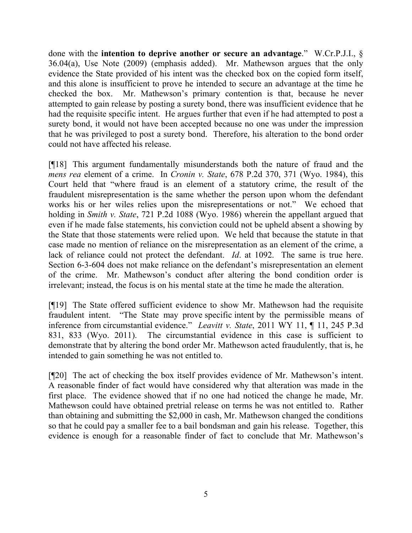done with the **intention to deprive another or secure an advantage**." W.Cr.P.J.I., § 36.04(a), Use Note (2009) (emphasis added). Mr. Mathewson argues that the only evidence the State provided of his intent was the checked box on the copied form itself, and this alone is insufficient to prove he intended to secure an advantage at the time he checked the box. Mr. Mathewson's primary contention is that, because he never attempted to gain release by posting a surety bond, there was insufficient evidence that he had the requisite specific intent. He argues further that even if he had attempted to post a surety bond, it would not have been accepted because no one was under the impression that he was privileged to post a surety bond. Therefore, his alteration to the bond order could not have affected his release.

[¶18] This argument fundamentally misunderstands both the nature of fraud and the *mens rea* element of a crime. In *Cronin v. State*, 678 P.2d 370, 371 (Wyo. 1984), this Court held that "where fraud is an element of a statutory crime, the result of the fraudulent misrepresentation is the same whether the person upon whom the defendant works his or her wiles relies upon the misrepresentations or not." We echoed that holding in *Smith v. State*, 721 P.2d 1088 (Wyo. 1986) wherein the appellant argued that even if he made false statements, his conviction could not be upheld absent a showing by the State that those statements were relied upon. We held that because the statute in that case made no mention of reliance on the misrepresentation as an element of the crime, a lack of reliance could not protect the defendant. *Id*. at 1092. The same is true here. Section 6-3-604 does not make reliance on the defendant's misrepresentation an element of the crime. Mr. Mathewson's conduct after altering the bond condition order is irrelevant; instead, the focus is on his mental state at the time he made the alteration.

[¶19] The State offered sufficient evidence to show Mr. Mathewson had the requisite fraudulent intent. "The State may prove specific intent by the permissible means of inference from circumstantial evidence." *Leavitt v. State*, 2011 WY 11, ¶ 11, 245 P.3d 831, 833 (Wyo. 2011). The circumstantial evidence in this case is sufficient to demonstrate that by altering the bond order Mr. Mathewson acted fraudulently, that is, he intended to gain something he was not entitled to.

[¶20] The act of checking the box itself provides evidence of Mr. Mathewson's intent. A reasonable finder of fact would have considered why that alteration was made in the first place. The evidence showed that if no one had noticed the change he made, Mr. Mathewson could have obtained pretrial release on terms he was not entitled to. Rather than obtaining and submitting the \$2,000 in cash, Mr. Mathewson changed the conditions so that he could pay a smaller fee to a bail bondsman and gain his release. Together, this evidence is enough for a reasonable finder of fact to conclude that Mr. Mathewson's